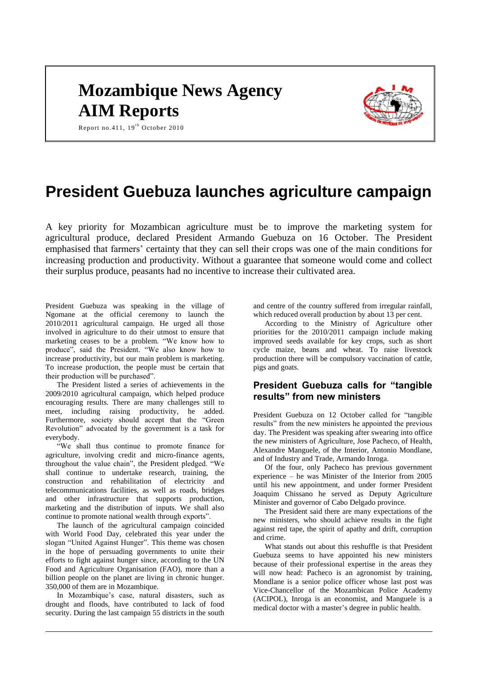# **Mozambique News Agency AIM Reports**



Report no.411,  $19^{th}$  October 2010

## **President Guebuza launches agriculture campaign**

A key priority for Mozambican agriculture must be to improve the marketing system for agricultural produce, declared President Armando Guebuza on 16 October. The President emphasised that farmers' certainty that they can sell their crops was one of the main conditions for increasing production and productivity. Without a guarantee that someone would come and collect their surplus produce, peasants had no incentive to increase their cultivated area.

President Guebuza was speaking in the village of Ngomane at the official ceremony to launch the 2010/2011 agricultural campaign. He urged all those involved in agriculture to do their utmost to ensure that marketing ceases to be a problem. "We know how to produce", said the President. "We also know how to increase productivity, but our main problem is marketing. To increase production, the people must be certain that their production will be purchased".

The President listed a series of achievements in the 2009/2010 agricultural campaign, which helped produce encouraging results. There are many challenges still to meet, including raising productivity, he added. Furthermore, society should accept that the "Green Revolution" advocated by the government is a task for everybody.

"We shall thus continue to promote finance for agriculture, involving credit and micro-finance agents, throughout the value chain", the President pledged. "We shall continue to undertake research, training, the construction and rehabilitation of electricity and telecommunications facilities, as well as roads, bridges and other infrastructure that supports production, marketing and the distribution of inputs. We shall also continue to promote national wealth through exports".

The launch of the agricultural campaign coincided with World Food Day, celebrated this year under the slogan "United Against Hunger". This theme was chosen in the hope of persuading governments to unite their efforts to fight against hunger since, according to the UN Food and Agriculture Organisation (FAO), more than a billion people on the planet are living in chronic hunger. 350,000 of them are in Mozambique.

In Mozambique's case, natural disasters, such as drought and floods, have contributed to lack of food security. During the last campaign 55 districts in the south

and centre of the country suffered from irregular rainfall, which reduced overall production by about 13 per cent.

According to the Ministry of Agriculture other priorities for the 2010/2011 campaign include making improved seeds available for key crops, such as short cycle maize, beans and wheat. To raise livestock production there will be compulsory vaccination of cattle, pigs and goats.

#### **President Guebuza calls for "tangible results" from new ministers**

President Guebuza on 12 October called for "tangible results" from the new ministers he appointed the previous day. The President was speaking after swearing into office the new ministers of Agriculture, Jose Pacheco, of Health, Alexandre Manguele, of the Interior, Antonio Mondlane, and of Industry and Trade, Armando Inroga.

Of the four, only Pacheco has previous government experience – he was Minister of the Interior from 2005 until his new appointment, and under former President Joaquim Chissano he served as Deputy Agriculture Minister and governor of Cabo Delgado province.

The President said there are many expectations of the new ministers, who should achieve results in the fight against red tape, the spirit of apathy and drift, corruption and crime.

What stands out about this reshuffle is that President Guebuza seems to have appointed his new ministers because of their professional expertise in the areas they will now head: Pacheco is an agronomist by training, Mondlane is a senior police officer whose last post was Vice-Chancellor of the Mozambican Police Academy (ACIPOL), Inroga is an economist, and Manguele is a medical doctor with a master's degree in public health.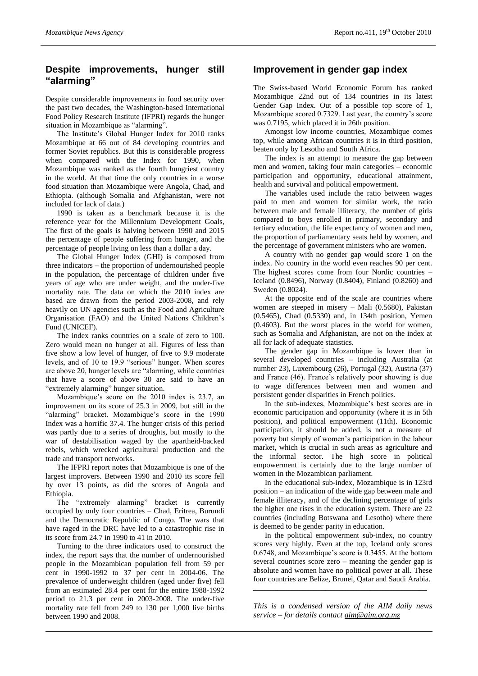#### **Despite improvements, hunger still "alarming"**

Despite considerable improvements in food security over the past two decades, the Washington-based International Food Policy Research Institute (IFPRI) regards the hunger situation in Mozambique as "alarming".

The Institute's Global Hunger Index for 2010 ranks Mozambique at 66 out of 84 developing countries and former Soviet republics. But this is considerable progress when compared with the Index for 1990, when Mozambique was ranked as the fourth hungriest country in the world. At that time the only countries in a worse food situation than Mozambique were Angola, Chad, and Ethiopia. (although Somalia and Afghanistan, were not included for lack of data.)

1990 is taken as a benchmark because it is the reference year for the Millennium Development Goals, The first of the goals is halving between 1990 and 2015 the percentage of people suffering from hunger, and the percentage of people living on less than a dollar a day.

The Global Hunger Index (GHI) is composed from three indicators – the proportion of undernourished people in the population, the percentage of children under five years of age who are under weight, and the under-five mortality rate. The data on which the 2010 index are based are drawn from the period 2003-2008, and rely heavily on UN agencies such as the Food and Agriculture Organisation (FAO) and the United Nations Children's Fund (UNICEF).

The index ranks countries on a scale of zero to 100. Zero would mean no hunger at all. Figures of less than five show a low level of hunger, of five to 9.9 moderate levels, and of 10 to 19.9 "serious" hunger. When scores are above 20, hunger levels are "alarming, while countries that have a score of above 30 are said to have an "extremely alarming" hunger situation.

Mozambique's score on the 2010 index is 23.7, an improvement on its score of 25.3 in 2009, but still in the "alarming" bracket. Mozambique's score in the 1990 Index was a horrific 37.4. The hunger crisis of this period was partly due to a series of droughts, but mostly to the war of destabilisation waged by the apartheid-backed rebels, which wrecked agricultural production and the trade and transport networks.

The IFPRI report notes that Mozambique is one of the largest improvers. Between 1990 and 2010 its score fell by over 13 points, as did the scores of Angola and Ethiopia.

The "extremely alarming" bracket is currently occupied by only four countries – Chad, Eritrea, Burundi and the Democratic Republic of Congo. The wars that have raged in the DRC have led to a catastrophic rise in its score from 24.7 in 1990 to 41 in 2010.

Turning to the three indicators used to construct the index, the report says that the number of undernourished people in the Mozambican population fell from 59 per cent in 1990-1992 to 37 per cent in 2004-06. The prevalence of underweight children (aged under five) fell from an estimated 28.4 per cent for the entire 1988-1992 period to 21.3 per cent in 2003-2008. The under-five mortality rate fell from 249 to 130 per 1,000 live births between 1990 and 2008.

#### **Improvement in gender gap index**

The Swiss-based World Economic Forum has ranked Mozambique 22nd out of 134 countries in its latest Gender Gap Index. Out of a possible top score of 1, Mozambique scored 0.7329. Last year, the country's score was 0.7195, which placed it in 26th position.

Amongst low income countries, Mozambique comes top, while among African countries it is in third position, beaten only by Lesotho and South Africa.

The index is an attempt to measure the gap between men and women, taking four main categories – economic participation and opportunity, educational attainment, health and survival and political empowerment.

The variables used include the ratio between wages paid to men and women for similar work, the ratio between male and female illiteracy, the number of girls compared to boys enrolled in primary, secondary and tertiary education, the life expectancy of women and men, the proportion of parliamentary seats held by women, and the percentage of government ministers who are women.

A country with no gender gap would score 1 on the index. No country in the world even reaches 90 per cent. The highest scores come from four Nordic countries – Iceland (0.8496), Norway (0.8404), Finland (0.8260) and Sweden (0.8024).

At the opposite end of the scale are countries where women are steeped in misery – Mali (0.5680), Pakistan (0.5465), Chad (0.5330) and, in 134th position, Yemen (0.4603). But the worst places in the world for women, such as Somalia and Afghanistan, are not on the index at all for lack of adequate statistics.

The gender gap in Mozambique is lower than in several developed countries – including Australia (at number 23), Luxembourg (26), Portugal (32), Austria (37) and France (46). France's relatively poor showing is due to wage differences between men and women and persistent gender disparities in French politics.

In the sub-indexes, Mozambique's best scores are in economic participation and opportunity (where it is in 5th position), and political empowerment (11th). Economic participation, it should be added, is not a measure of poverty but simply of women's participation in the labour market, which is crucial in such areas as agriculture and the informal sector. The high score in political empowerment is certainly due to the large number of women in the Mozambican parliament.

In the educational sub-index, Mozambique is in 123rd position – an indication of the wide gap between male and female illiteracy, and of the declining percentage of girls the higher one rises in the education system. There are 22 countries (including Botswana and Lesotho) where there is deemed to be gender parity in education.

In the political empowerment sub-index, no country scores very highly. Even at the top, Iceland only scores 0.6748, and Mozambique's score is 0.3455. At the bottom several countries score zero – meaning the gender gap is absolute and women have no political power at all. These four countries are Belize, Brunei, Qatar and Saudi Arabia.

*This is a condensed version of the AIM daily news service – for details contact [aim@aim.org.mz](mailto:aim@aim.org.mz)*

\_\_\_\_\_\_\_\_\_\_\_\_\_\_\_\_\_\_\_\_\_\_\_\_\_\_\_\_\_\_\_\_\_\_\_\_\_\_\_\_\_\_\_\_\_\_\_\_\_\_\_\_\_\_\_\_\_\_\_\_\_\_\_\_\_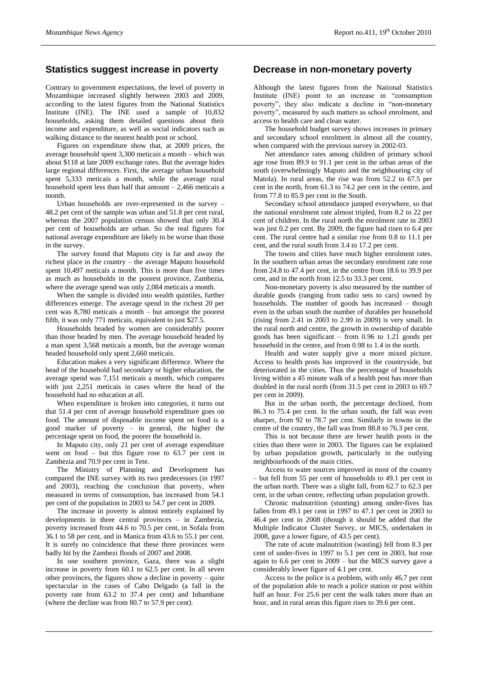#### **Statistics suggest increase in poverty**

Contrary to government expectations, the level of poverty in Mozambique increased slightly between 2003 and 2009, according to the latest figures from the National Statistics Institute (INE). The INE used a sample of 10,832 households, asking them detailed questions about their income and expenditure, as well as social indicators such as walking distance to the nearest health post or school.

Figures on expenditure show that, at 2009 prices, the average household spent 3,300 meticais a month – which was about \$118 at late 2009 exchange rates. But the average hides large regional differences. First, the average urban household spent 5,333 meticais a month, while the average rural household spent less than half that amount  $-2,466$  meticais a month.

Urban households are over-represented in the survey – 48.2 per cent of the sample was urban and 51.8 per cent rural, whereas the 2007 population census showed that only 30.4 per cent of households are urban. So the real figures for national average expenditure are likely to be worse than those in the survey.

The survey found that Maputo city is far and away the richest place in the country – the average Maputo household spent 10,497 meticais a month. This is more than five times as much as households in the poorest province, Zambezia, where the average spend was only 2,084 meticais a month.

When the sample is divided into wealth quintiles, further differences emerge. The average spend in the richest 20 per cent was 8,780 meticais a month – but amongst the poorest fifth, it was only 771 meticais, equivalent to just \$27.5.

Households headed by women are considerably poorer than those headed by men. The average household headed by a man spent 3,568 meticais a month, but the average woman headed household only spent 2,660 meticais.

Education makes a very significant difference. Where the head of the household had secondary or higher education, the average spend was 7,151 meticais a month, which compares with just 2,251 meticais in cases where the head of the household had no education at all.

When expenditure is broken into categories, it turns out that 51.4 per cent of average household expenditure goes on food. The amount of disposable income spent on food is a good marker of poverty – in general, the higher the percentage spent on food, the poorer the household is.

In Maputo city, only 21 per cent of average expenditure went on food – but this figure rose to 63.7 per cent in Zambezia and 70.9 per cent in Tete.

The Ministry of Planning and Development has compared the INE survey with its two predecessors (in 1997 and 2003), reaching the conclusion that poverty, when measured in terms of consumption, has increased from 54.1 per cent of the population in 2003 to 54.7 per cent in 2009.

The increase in poverty is almost entirely explained by developments in three central provinces – in Zambezia, poverty increased from 44.6 to 70.5 per cent, in Sofala from 36.1 to 58 per cent, and in Manica from 43.6 to 55.1 per cent. It is surely no coincidence that these three provinces were badly hit by the Zambezi floods of 2007 and 2008.

In one southern province, Gaza, there was a slight increase in poverty from 60.1 to 62.5 per cent. In all seven other provinces, the figures show a decline in poverty – quite spectacular in the cases of Cabo Delgado (a fall in the poverty rate from 63.2 to 37.4 per cent) and Inhambane (where the decline was from 80.7 to 57.9 per cent).

#### **Decrease in non-monetary poverty**

Although the latest figures from the National Statistics Institute (INE) point to an increase in "consumption poverty", they also indicate a decline in "non-monetary poverty", measured by such matters as school enrolment, and access to health care and clean water.

The household budget survey shows increases in primary and secondary school enrolment in almost all the country, when compared with the previous survey in 2002-03.

Net attendance rates among children of primary school age rose from 89.9 to 91.1 per cent in the urban areas of the south (overwhelmingly Maputo and the neighbouring city of Matola). In rural areas, the rise was from 52.2 to 67.5 per cent in the north, from 61.3 to 74.2 per cent in the centre, and from 77.8 to 85.9 per cent in the South.

Secondary school attendance jumped everywhere, so that the national enrolment rate almost tripled, from 8.2 to 22 per cent of children. In the rural north the enrolment rate in 2003 was just 0.2 per cent. By 2009, the figure had risen to 6.4 per cent. The rural centre had a similar rise from 0.8 to 11.1 per cent, and the rural south from 3.4 to 17.2 per cent.

The towns and cities have much higher enrolment rates. In the southern urban areas the secondary enrolment rate rose from 24.8 to 47.4 per cent, in the centre from 18.6 to 39.9 per cent, and in the north from 12.5 to 33.3 per cent.

Non-monetary poverty is also measured by the number of durable goods (ranging from radio sets to cars) owned by households. The number of goods has increased – though even in the urban south the number of durables per household (rising from 2.41 in 2003 to 2.99 in 2009) is very small. In the rural north and centre, the growth in ownership of durable goods has been significant – from 0.96 to 1.21 goods per household in the centre, and from 0.98 to 1.4 in the north.

Health and water supply give a more mixed picture. Access to health posts has improved in the countryside, but deteriorated in the cities. Thus the percentage of households living within a 45 minute walk of a health post has more than doubled in the rural north (from 31.5 per cent in 2003 to 69.7 per cent in 2009).

But in the urban north, the percentage declined, from 86.3 to 75.4 per cent. In the urban south, the fall was even sharper, from 92 to 78.7 per cent. Similarly in towns in the centre of the country, the fall was from 88.8 to 76.3 per cent.

This is not because there are fewer health posts in the cities than there were in 2003. The figures can be explained by urban population growth, particularly in the outlying neighbourhoods of the main cities.

Access to water sources improved in most of the country – but fell from 55 per cent of households to 49.1 per cent in the urban north. There was a slight fall, from 62.7 to 62.3 per cent, in the urban centre, reflecting urban population growth.

Chronic malnutrition (stunting) among under-fives has fallen from 49.1 per cent in 1997 to 47.1 per cent in 2003 to 46.4 per cent in 2008 (though it should be added that the Multiple Indicator Cluster Survey, or MICS, undertaken in 2008, gave a lower figure, of 43.5 per cent).

The rate of acute malnutrition (wasting) fell from 8.3 per cent of under-fives in 1997 to 5.1 per cent in 2003, but rose again to 6.6 per cent in 2009 – but the MICS survey gave a considerably lower figure of 4.1 per cent.

Access to the police is a problem, with only 46.7 per cent of the population able to reach a police station or post within half an hour. For 25.6 per cent the walk takes more than an hour, and in rural areas this figure rises to 39.6 per cent.